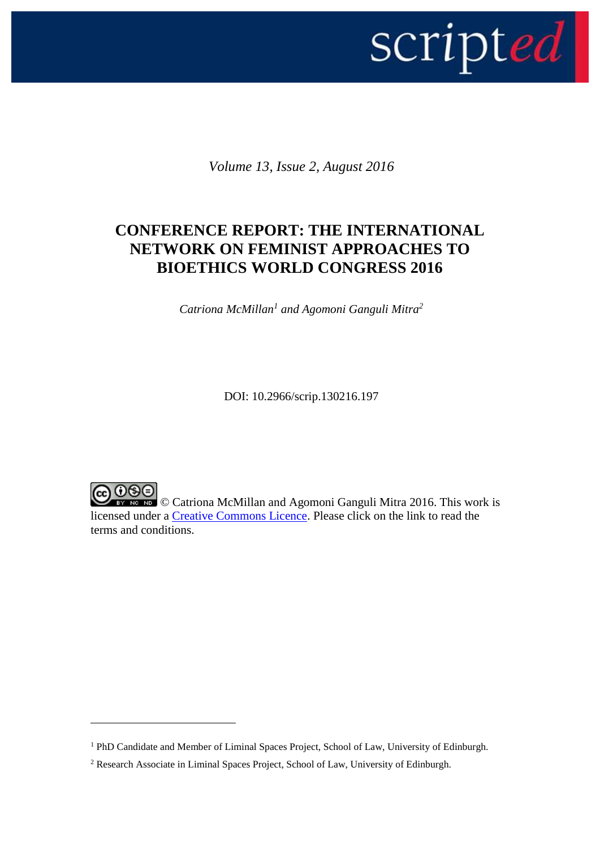

*Volume 13, Issue 2, August 2016*

## **CONFERENCE REPORT: THE INTERNATIONAL NETWORK ON FEMINIST APPROACHES TO BIOETHICS WORLD CONGRESS 2016**

*Catriona McMillan<sup>1</sup> and Agomoni Ganguli Mitra<sup>2</sup>*

DOI: 10.2966/scrip.130216.197

O SO<br>
This work is<br>
This work is<br>
This work is<br>
This work is<br>
This work is<br>
This work is<br>
This work is licensed under a [Creative Commons Licence.](http://creativecommons.org/licenses/by-nc-nd/2.5/scotland/) Please click on the link to read the terms and conditions.

1

<sup>&</sup>lt;sup>1</sup> PhD Candidate and Member of Liminal Spaces Project, School of Law, University of Edinburgh.

<sup>2</sup> Research Associate in Liminal Spaces Project, School of Law, University of Edinburgh.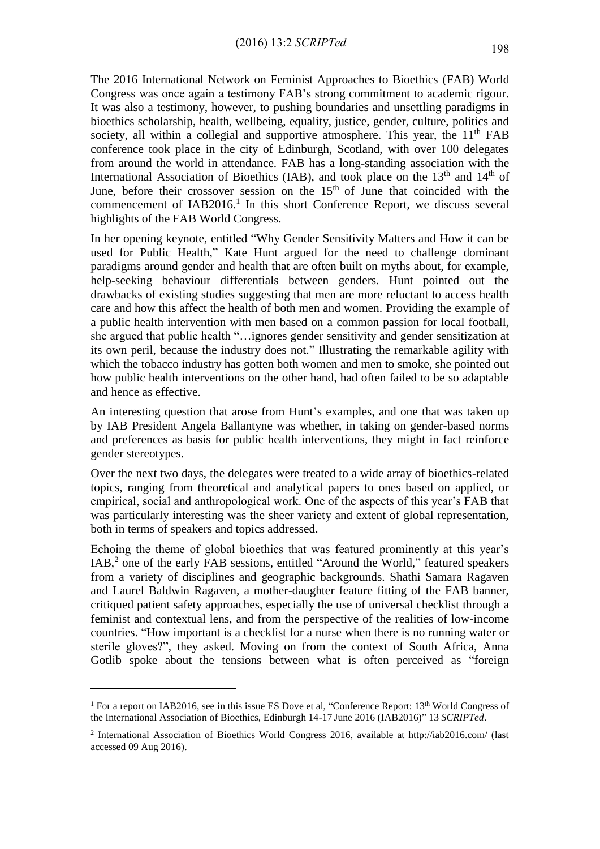The 2016 International Network on Feminist Approaches to Bioethics (FAB) World Congress was once again a testimony FAB's strong commitment to academic rigour. It was also a testimony, however, to pushing boundaries and unsettling paradigms in bioethics scholarship, health, wellbeing, equality, justice, gender, culture, politics and society, all within a collegial and supportive atmosphere. This year, the  $11<sup>th</sup> FAB$ conference took place in the city of Edinburgh, Scotland, with over 100 delegates from around the world in attendance. FAB has a long-standing association with the International Association of Bioethics (IAB), and took place on the  $13<sup>th</sup>$  and  $14<sup>th</sup>$  of June, before their crossover session on the 15<sup>th</sup> of June that coincided with the commencement of  $IAB2016<sup>1</sup>$  In this short Conference Report, we discuss several highlights of the FAB World Congress.

In her opening keynote, entitled "Why Gender Sensitivity Matters and How it can be used for Public Health," Kate Hunt argued for the need to challenge dominant paradigms around gender and health that are often built on myths about, for example, help-seeking behaviour differentials between genders. Hunt pointed out the drawbacks of existing studies suggesting that men are more reluctant to access health care and how this affect the health of both men and women. Providing the example of a public health intervention with men based on a common passion for local football, she argued that public health "…ignores gender sensitivity and gender sensitization at its own peril, because the industry does not." Illustrating the remarkable agility with which the tobacco industry has gotten both women and men to smoke, she pointed out how public health interventions on the other hand, had often failed to be so adaptable and hence as effective.

An interesting question that arose from Hunt's examples, and one that was taken up by IAB President Angela Ballantyne was whether, in taking on gender-based norms and preferences as basis for public health interventions, they might in fact reinforce gender stereotypes.

Over the next two days, the delegates were treated to a wide array of bioethics-related topics, ranging from theoretical and analytical papers to ones based on applied, or empirical, social and anthropological work. One of the aspects of this year's FAB that was particularly interesting was the sheer variety and extent of global representation, both in terms of speakers and topics addressed.

Echoing the theme of global bioethics that was featured prominently at this year's IAB,<sup>2</sup> one of the early FAB sessions, entitled "Around the World," featured speakers from a variety of disciplines and geographic backgrounds. Shathi Samara Ragaven and Laurel Baldwin Ragaven, a mother-daughter feature fitting of the FAB banner, critiqued patient safety approaches, especially the use of universal checklist through a feminist and contextual lens, and from the perspective of the realities of low-income countries. "How important is a checklist for a nurse when there is no running water or sterile gloves?", they asked. Moving on from the context of South Africa, Anna Gotlib spoke about the tensions between what is often perceived as "foreign

<u>.</u>

<sup>&</sup>lt;sup>1</sup> For a report on IAB2016, see in this issue ES Dove et al, "Conference Report:  $13<sup>th</sup>$  World Congress of the International Association of Bioethics, Edinburgh 14-17 June 2016 (IAB2016)" 13 *SCRIPTed*.

<sup>&</sup>lt;sup>2</sup> International Association of Bioethics World Congress 2016, available at http://iab2016.com/ (last accessed 09 Aug 2016).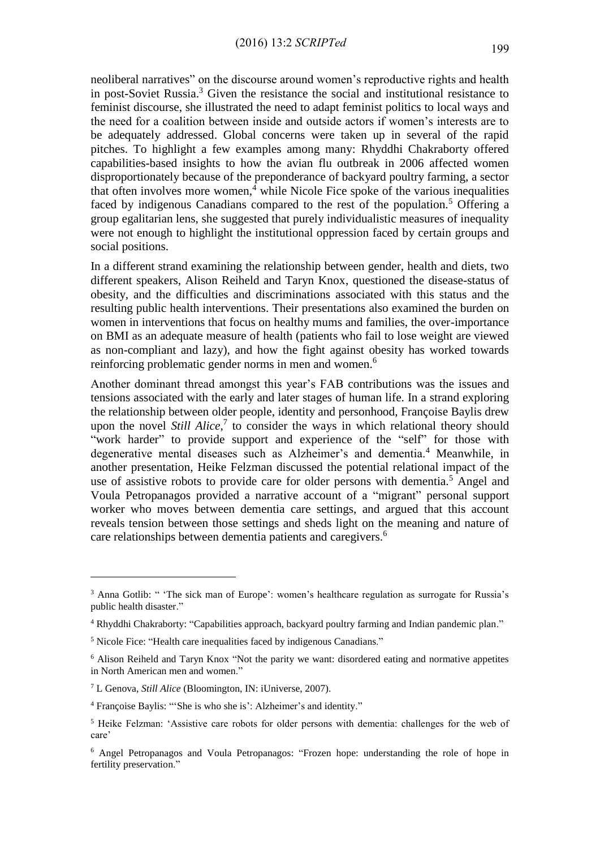neoliberal narratives" on the discourse around women's reproductive rights and health in post-Soviet Russia.<sup>3</sup> Given the resistance the social and institutional resistance to feminist discourse, she illustrated the need to adapt feminist politics to local ways and the need for a coalition between inside and outside actors if women's interests are to be adequately addressed. Global concerns were taken up in several of the rapid pitches. To highlight a few examples among many: Rhyddhi Chakraborty offered capabilities-based insights to how the avian flu outbreak in 2006 affected women disproportionately because of the preponderance of backyard poultry farming, a sector that often involves more women, <sup>4</sup> while Nicole Fice spoke of the various inequalities faced by indigenous Canadians compared to the rest of the population.<sup>5</sup> Offering a group egalitarian lens, she suggested that purely individualistic measures of inequality were not enough to highlight the institutional oppression faced by certain groups and social positions.

In a different strand examining the relationship between gender, health and diets, two different speakers, Alison Reiheld and Taryn Knox, questioned the disease-status of obesity, and the difficulties and discriminations associated with this status and the resulting public health interventions. Their presentations also examined the burden on women in interventions that focus on healthy mums and families, the over-importance on BMI as an adequate measure of health (patients who fail to lose weight are viewed as non-compliant and lazy), and how the fight against obesity has worked towards reinforcing problematic gender norms in men and women.<sup>6</sup>

Another dominant thread amongst this year's FAB contributions was the issues and tensions associated with the early and later stages of human life. In a strand exploring the relationship between older people, identity and personhood, Françoise Baylis drew upon the novel *Still Alice*,<sup>7</sup> to consider the ways in which relational theory should "work harder" to provide support and experience of the "self" for those with degenerative mental diseases such as Alzheimer's and dementia.<sup>4</sup> Meanwhile, in another presentation, Heike Felzman discussed the potential relational impact of the use of assistive robots to provide care for older persons with dementia.<sup>5</sup> Angel and Voula Petropanagos provided a narrative account of a "migrant" personal support worker who moves between dementia care settings, and argued that this account reveals tension between those settings and sheds light on the meaning and nature of care relationships between dementia patients and caregivers.<sup>6</sup>

<u>.</u>

<sup>&</sup>lt;sup>3</sup> Anna Gotlib: " 'The sick man of Europe': women's healthcare regulation as surrogate for Russia's public health disaster."

<sup>4</sup> Rhyddhi Chakraborty: "Capabilities approach, backyard poultry farming and Indian pandemic plan."

<sup>5</sup> Nicole Fice: "Health care inequalities faced by indigenous Canadians."

<sup>6</sup> Alison Reiheld and Taryn Knox "Not the parity we want: disordered eating and normative appetites in North American men and women."

<sup>7</sup> L Genova, *Still Alice* (Bloomington, IN: iUniverse, 2007).

<sup>4</sup> Françoise Baylis: "'She is who she is': Alzheimer's and identity."

<sup>5</sup> Heike Felzman: 'Assistive care robots for older persons with dementia: challenges for the web of care'

<sup>6</sup> Angel Petropanagos and Voula Petropanagos: "Frozen hope: understanding the role of hope in fertility preservation."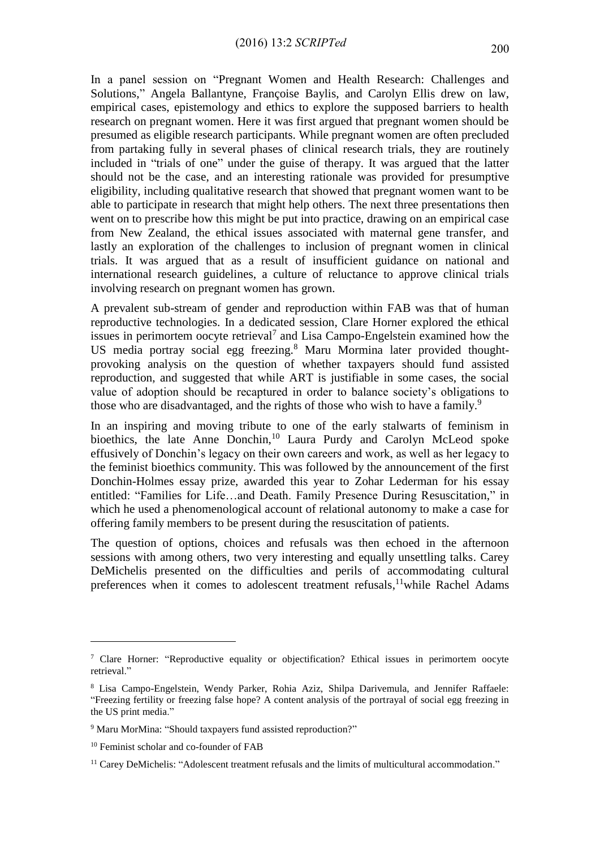In a panel session on "Pregnant Women and Health Research: Challenges and Solutions," Angela Ballantyne, Françoise Baylis, and Carolyn Ellis drew on law, empirical cases, epistemology and ethics to explore the supposed barriers to health research on pregnant women. Here it was first argued that pregnant women should be presumed as eligible research participants. While pregnant women are often precluded from partaking fully in several phases of clinical research trials, they are routinely included in "trials of one" under the guise of therapy. It was argued that the latter should not be the case, and an interesting rationale was provided for presumptive eligibility, including qualitative research that showed that pregnant women want to be able to participate in research that might help others. The next three presentations then went on to prescribe how this might be put into practice, drawing on an empirical case from New Zealand, the ethical issues associated with maternal gene transfer, and lastly an exploration of the challenges to inclusion of pregnant women in clinical trials. It was argued that as a result of insufficient guidance on national and international research guidelines, a culture of reluctance to approve clinical trials involving research on pregnant women has grown.

A prevalent sub-stream of gender and reproduction within FAB was that of human reproductive technologies. In a dedicated session, Clare Horner explored the ethical issues in perimortem oocyte retrieval<sup>7</sup> and Lisa Campo-Engelstein examined how the US media portray social egg freezing.<sup>8</sup> Maru Mormina later provided thoughtprovoking analysis on the question of whether taxpayers should fund assisted reproduction, and suggested that while ART is justifiable in some cases, the social value of adoption should be recaptured in order to balance society's obligations to those who are disadvantaged, and the rights of those who wish to have a family.<sup>9</sup>

In an inspiring and moving tribute to one of the early stalwarts of feminism in bioethics, the late Anne Donchin,<sup>10</sup> Laura Purdy and Carolyn McLeod spoke effusively of Donchin's legacy on their own careers and work, as well as her legacy to the feminist bioethics community. This was followed by the announcement of the first Donchin-Holmes essay prize, awarded this year to Zohar Lederman for his essay entitled: "Families for Life…and Death. Family Presence During Resuscitation," in which he used a phenomenological account of relational autonomy to make a case for offering family members to be present during the resuscitation of patients.

The question of options, choices and refusals was then echoed in the afternoon sessions with among others, two very interesting and equally unsettling talks. Carey DeMichelis presented on the difficulties and perils of accommodating cultural preferences when it comes to adolescent treatment refusals, <sup>11</sup>while Rachel Adams

1

<sup>7</sup> Clare Horner: "Reproductive equality or objectification? Ethical issues in perimortem oocyte retrieval."

<sup>8</sup> Lisa Campo-Engelstein, Wendy Parker, Rohia Aziz, Shilpa Darivemula, and Jennifer Raffaele: "Freezing fertility or freezing false hope? A content analysis of the portrayal of social egg freezing in the US print media."

<sup>9</sup> Maru MorMina: "Should taxpayers fund assisted reproduction?"

<sup>10</sup> Feminist scholar and co-founder of FAB

<sup>&</sup>lt;sup>11</sup> Carey DeMichelis: "Adolescent treatment refusals and the limits of multicultural accommodation."